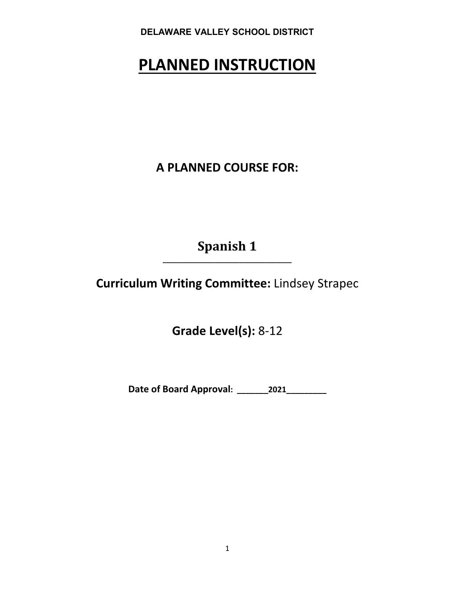# **PLANNED INSTRUCTION**

**A PLANNED COURSE FOR:**

**Spanish 1 \_\_\_\_\_\_\_\_\_\_\_\_\_\_\_\_\_\_\_\_\_\_\_\_\_\_\_\_\_\_\_\_\_\_\_\_\_\_\_**

**Curriculum Writing Committee:** Lindsey Strapec

**Grade Level(s):** 8-12

**Date of Board Approval: \_\_\_\_\_\_\_2021\_\_\_\_\_\_\_\_\_**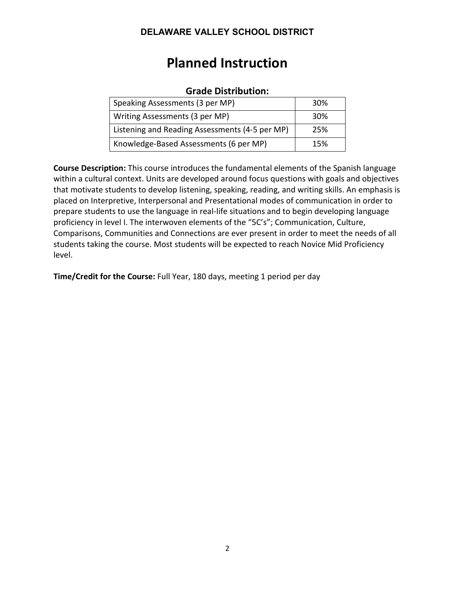# **Planned Instruction**

# **Grade Distribution:**

| Speaking Assessments (3 per MP)                | 30%             |
|------------------------------------------------|-----------------|
| Writing Assessments (3 per MP)                 | 30 <sup>%</sup> |
| Listening and Reading Assessments (4-5 per MP) | 25%             |
| Knowledge-Based Assessments (6 per MP)         | 15%             |

**Course Description:** This course introduces the fundamental elements of the Spanish language within a cultural context. Units are developed around focus questions with goals and objectives that motivate students to develop listening, speaking, reading, and writing skills. An emphasis is placed on Interpretive, Interpersonal and Presentational modes of communication in order to prepare students to use the language in real-life situations and to begin developing language proficiency in level I. The interwoven elements of the "5C's"; Communication, Culture, Comparisons, Communities and Connections are ever present in order to meet the needs of all students taking the course. Most students will be expected to reach Novice Mid Proficiency level.

**Time/Credit for the Course:** Full Year, 180 days, meeting 1 period per day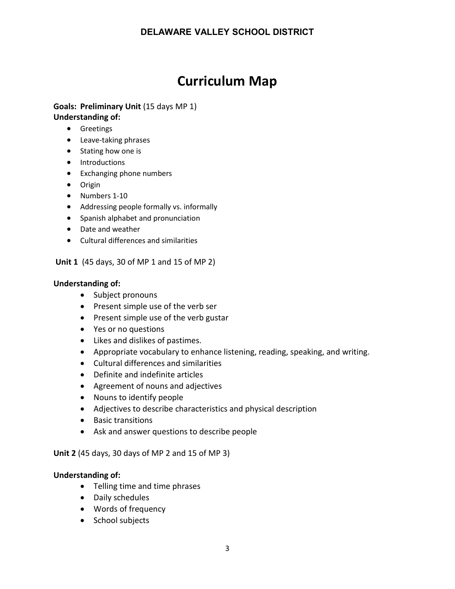# **Curriculum Map**

#### **Goals: Preliminary Unit** (15 days MP 1) **Understanding of:**

- Greetings
- Leave-taking phrases
- Stating how one is
- Introductions
- Exchanging phone numbers
- Origin
- Numbers 1-10
- Addressing people formally vs. informally
- Spanish alphabet and pronunciation
- Date and weather
- Cultural differences and similarities

**Unit 1** (45 days, 30 of MP 1 and 15 of MP 2)

#### **Understanding of:**

- Subject pronouns
- Present simple use of the verb ser
- Present simple use of the verb gustar
- Yes or no questions
- Likes and dislikes of pastimes.
- Appropriate vocabulary to enhance listening, reading, speaking, and writing.
- Cultural differences and similarities
- Definite and indefinite articles
- Agreement of nouns and adjectives
- Nouns to identify people
- Adjectives to describe characteristics and physical description
- Basic transitions
- Ask and answer questions to describe people

**Unit 2** (45 days, 30 days of MP 2 and 15 of MP 3)

#### **Understanding of:**

- Telling time and time phrases
- Daily schedules
- Words of frequency
- School subjects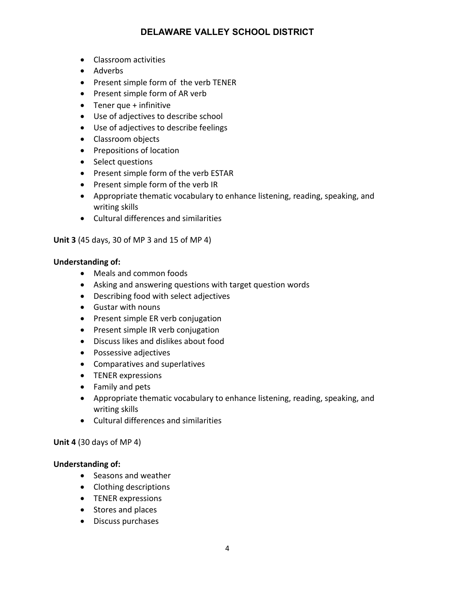- Classroom activities
- Adverbs
- Present simple form of the verb TENER
- Present simple form of AR verb
- Tener que + infinitive
- Use of adjectives to describe school
- Use of adjectives to describe feelings
- Classroom objects
- Prepositions of location
- Select questions
- Present simple form of the verb ESTAR
- Present simple form of the verb IR
- Appropriate thematic vocabulary to enhance listening, reading, speaking, and writing skills
- Cultural differences and similarities

**Unit 3** (45 days, 30 of MP 3 and 15 of MP 4)

#### **Understanding of:**

- Meals and common foods
- Asking and answering questions with target question words
- Describing food with select adjectives
- Gustar with nouns
- Present simple ER verb conjugation
- Present simple IR verb conjugation
- Discuss likes and dislikes about food
- Possessive adjectives
- Comparatives and superlatives
- TENER expressions
- Family and pets
- Appropriate thematic vocabulary to enhance listening, reading, speaking, and writing skills
- Cultural differences and similarities

#### **Unit 4** (30 days of MP 4)

#### **Understanding of:**

- Seasons and weather
- Clothing descriptions
- TENER expressions
- Stores and places
- Discuss purchases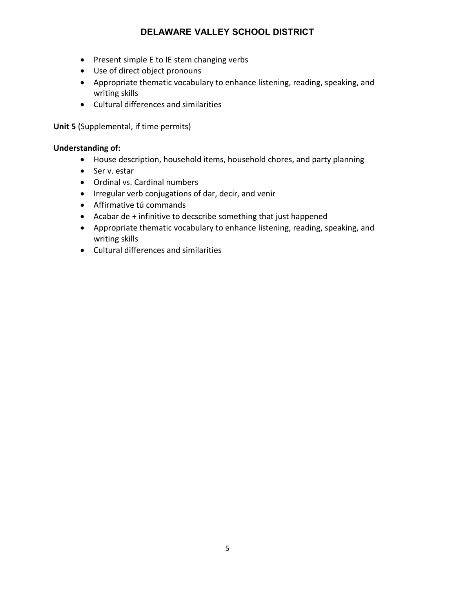- Present simple E to IE stem changing verbs
- Use of direct object pronouns
- Appropriate thematic vocabulary to enhance listening, reading, speaking, and writing skills
- Cultural differences and similarities

**Unit 5** (Supplemental, if time permits)

#### **Understanding of:**

- House description, household items, household chores, and party planning
- Ser v. estar
- Ordinal vs. Cardinal numbers
- Irregular verb conjugations of dar, decir, and venir
- Affirmative tú commands
- Acabar de + infinitive to decscribe something that just happened
- Appropriate thematic vocabulary to enhance listening, reading, speaking, and writing skills
- Cultural differences and similarities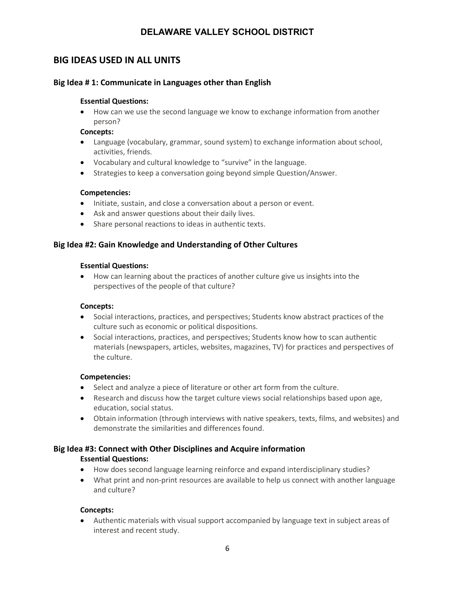# **BIG IDEAS USED IN ALL UNITS**

#### **Big Idea # 1: Communicate in Languages other than English**

#### **Essential Questions:**

• How can we use the second language we know to exchange information from another person?

#### **Concepts:**

- Language (vocabulary, grammar, sound system) to exchange information about school, activities, friends.
- Vocabulary and cultural knowledge to "survive" in the language.
- Strategies to keep a conversation going beyond simple Question/Answer.

#### **Competencies:**

- Initiate, sustain, and close a conversation about a person or event.
- Ask and answer questions about their daily lives.
- Share personal reactions to ideas in authentic texts.

#### **Big Idea #2: Gain Knowledge and Understanding of Other Cultures**

#### **Essential Questions:**

• How can learning about the practices of another culture give us insights into the perspectives of the people of that culture?

#### **Concepts:**

- Social interactions, practices, and perspectives; Students know abstract practices of the culture such as economic or political dispositions.
- Social interactions, practices, and perspectives; Students know how to scan authentic materials (newspapers, articles, websites, magazines, TV) for practices and perspectives of the culture.

#### **Competencies:**

- Select and analyze a piece of literature or other art form from the culture.
- Research and discuss how the target culture views social relationships based upon age, education, social status.
- Obtain information (through interviews with native speakers, texts, films, and websites) and demonstrate the similarities and differences found.

#### **Big Idea #3: Connect with Other Disciplines and Acquire information**

#### **Essential Questions:**

- How does second language learning reinforce and expand interdisciplinary studies?
- What print and non-print resources are available to help us connect with another language and culture?

#### **Concepts:**

• Authentic materials with visual support accompanied by language text in subject areas of interest and recent study.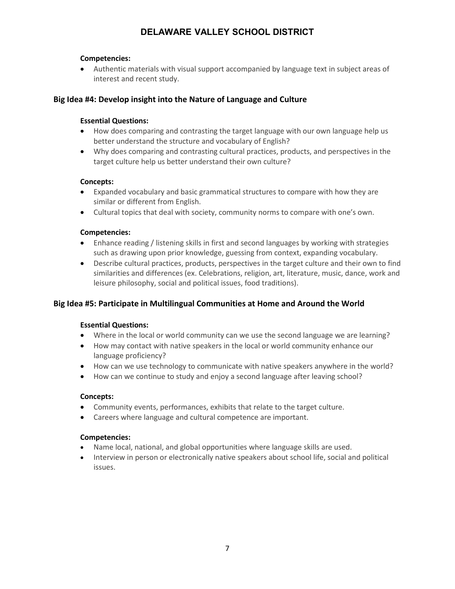#### **Competencies:**

• Authentic materials with visual support accompanied by language text in subject areas of interest and recent study.

#### **Big Idea #4: Develop insight into the Nature of Language and Culture**

#### **Essential Questions:**

- How does comparing and contrasting the target language with our own language help us better understand the structure and vocabulary of English?
- Why does comparing and contrasting cultural practices, products, and perspectives in the target culture help us better understand their own culture?

#### **Concepts:**

- Expanded vocabulary and basic grammatical structures to compare with how they are similar or different from English.
- Cultural topics that deal with society, community norms to compare with one's own.

#### **Competencies:**

- Enhance reading / listening skills in first and second languages by working with strategies such as drawing upon prior knowledge, guessing from context, expanding vocabulary.
- Describe cultural practices, products, perspectives in the target culture and their own to find similarities and differences (ex. Celebrations, religion, art, literature, music, dance, work and leisure philosophy, social and political issues, food traditions).

#### **Big Idea #5: Participate in Multilingual Communities at Home and Around the World**

#### **Essential Questions:**

- Where in the local or world community can we use the second language we are learning?
- How may contact with native speakers in the local or world community enhance our language proficiency?
- How can we use technology to communicate with native speakers anywhere in the world?
- How can we continue to study and enjoy a second language after leaving school?

#### **Concepts:**

- Community events, performances, exhibits that relate to the target culture.
- Careers where language and cultural competence are important.

#### **Competencies:**

- Name local, national, and global opportunities where language skills are used.
- Interview in person or electronically native speakers about school life, social and political issues.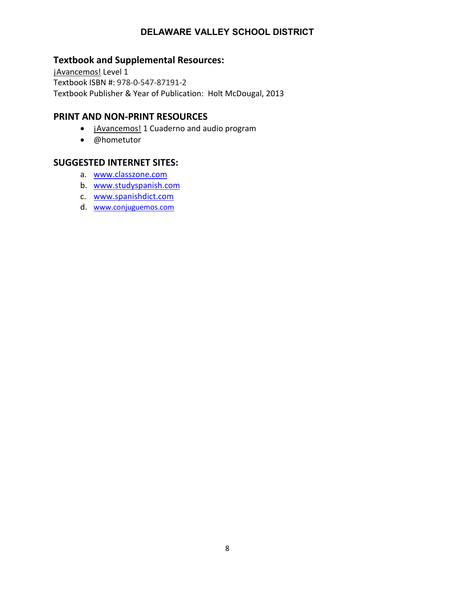# **Textbook and Supplemental Resources:**

¡Avancemos! Level 1 Textbook ISBN #: 978-0-547-87191-2 Textbook Publisher & Year of Publication: Holt McDougal, 2013

### **PRINT AND NON-PRINT RESOURCES**

- **¡Avancemos!** 1 Cuaderno and audio program
- @hometutor

## **SUGGESTED INTERNET SITES:**

- a. [www.classzone.com](http://www.cnnespanol.cnn.com/)
- b. [www.studyspanish.com](http://www.studyspanish.com/)
- c. [www.spanishdict.com](http://www.spanishdict.com/)
- d. [www.conjuguemos.com](http://www.conjuguemos.com/)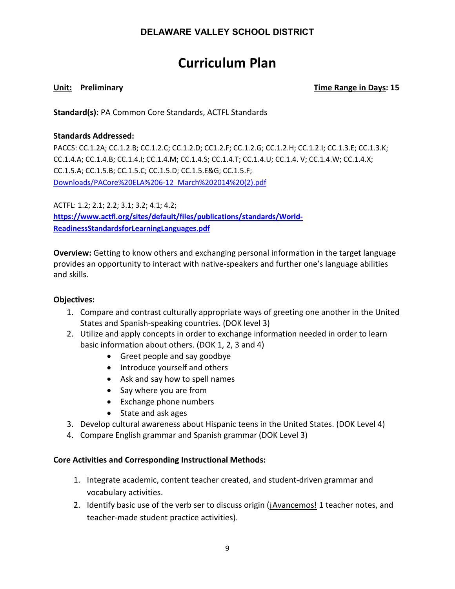# **Curriculum Plan**

#### **Unit:** Preliminary **Time Range in Days:** 15

**Standard(s):** PA Common Core Standards, ACTFL Standards

#### **Standards Addressed:**

PACCS: CC.1.2A; CC.1.2.B; CC.1.2.C; CC.1.2.D; CC1.2.F; CC.1.2.G; CC.1.2.H; CC.1.2.I; CC.1.3.E; CC.1.3.K; CC.1.4.A; CC.1.4.B; CC.1.4.I; CC.1.4.M; CC.1.4.S; CC.1.4.T; CC.1.4.U; CC.1.4. V; CC.1.4.W; CC.1.4.X; CC.1.5.A; CC.1.5.B; CC.1.5.C; CC.1.5.D; CC.1.5.E&G; CC.1.5.F; Downloads/PACore%20ELA%206-12\_March%202014%20(2).pdf

ACTFL: 1.2; 2.1; 2.2; 3.1; 3.2; 4.1; 4.2; **[https://www.actfl.org/sites/default/files/publications/standards/World-](https://www.actfl.org/sites/default/files/publications/standards/World-ReadinessStandardsforLearningLanguages.pdf)[ReadinessStandardsforLearningLanguages.pdf](https://www.actfl.org/sites/default/files/publications/standards/World-ReadinessStandardsforLearningLanguages.pdf)**

**Overview:** Getting to know others and exchanging personal information in the target language provides an opportunity to interact with native-speakers and further one's language abilities and skills.

#### **Objectives:**

- 1. Compare and contrast culturally appropriate ways of greeting one another in the United States and Spanish-speaking countries. (DOK level 3)
- 2. Utilize and apply concepts in order to exchange information needed in order to learn basic information about others. (DOK 1, 2, 3 and 4)
	- Greet people and say goodbye
	- Introduce yourself and others
	- Ask and say how to spell names
	- Say where you are from
	- Exchange phone numbers
	- State and ask ages
- 3. Develop cultural awareness about Hispanic teens in the United States. (DOK Level 4)
- 4. Compare English grammar and Spanish grammar (DOK Level 3)

### **Core Activities and Corresponding Instructional Methods:**

- 1. Integrate academic, content teacher created, and student-driven grammar and vocabulary activities.
- 2. Identify basic use of the verb ser to discuss origin (*jAvancemos! 1* teacher notes, and teacher-made student practice activities).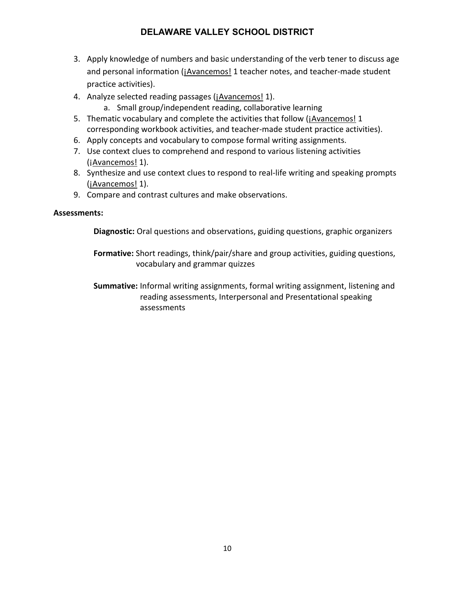- 3. Apply knowledge of numbers and basic understanding of the verb tener to discuss age and personal information (¡Avancemos! 1 teacher notes, and teacher-made student practice activities).
- 4. Analyze selected reading passages (*jAvancemos! 1*).
	- a. Small group/independent reading, collaborative learning
- 5. Thematic vocabulary and complete the activities that follow (*jAvancemos! 1* corresponding workbook activities, and teacher-made student practice activities).
- 6. Apply concepts and vocabulary to compose formal writing assignments.
- 7. Use context clues to comprehend and respond to various listening activities (¡Avancemos! 1).
- 8. Synthesize and use context clues to respond to real-life writing and speaking prompts (jAvancemos! 1).
- 9. Compare and contrast cultures and make observations.

#### **Assessments:**

**Diagnostic:** Oral questions and observations, guiding questions, graphic organizers

**Formative:** Short readings, think/pair/share and group activities, guiding questions, vocabulary and grammar quizzes

**Summative:** Informal writing assignments, formal writing assignment, listening and reading assessments, Interpersonal and Presentational speaking assessments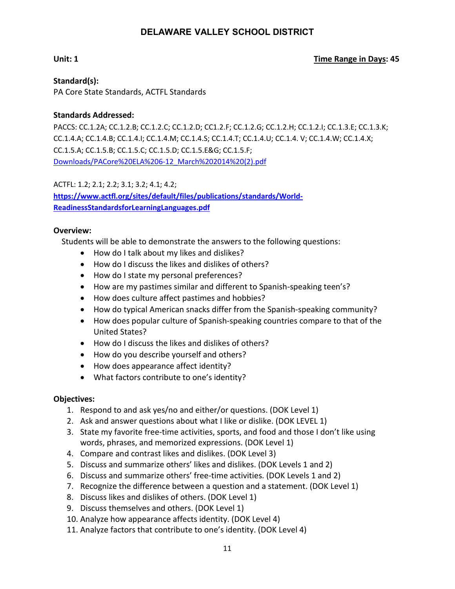#### **Unit: 1** Unit: 1

**Standard(s):** PA Core State Standards, ACTFL Standards

#### **Standards Addressed:**

PACCS: CC.1.2A; CC.1.2.B; CC.1.2.C; CC.1.2.D; CC1.2.F; CC.1.2.G; CC.1.2.H; CC.1.2.I; CC.1.3.E; CC.1.3.K; CC.1.4.A; CC.1.4.B; CC.1.4.I; CC.1.4.M; CC.1.4.S; CC.1.4.T; CC.1.4.U; CC.1.4. V; CC.1.4.W; CC.1.4.X; CC.1.5.A; CC.1.5.B; CC.1.5.C; CC.1.5.D; CC.1.5.E&G; CC.1.5.F; Downloads/PACore%20ELA%206-12\_March%202014%20(2).pdf

ACTFL: 1.2; 2.1; 2.2; 3.1; 3.2; 4.1; 4.2; **[https://www.actfl.org/sites/default/files/publications/standards/World-](https://www.actfl.org/sites/default/files/publications/standards/World-ReadinessStandardsforLearningLanguages.pdf)[ReadinessStandardsforLearningLanguages.pdf](https://www.actfl.org/sites/default/files/publications/standards/World-ReadinessStandardsforLearningLanguages.pdf)**

#### **Overview:**

Students will be able to demonstrate the answers to the following questions:

- How do I talk about my likes and dislikes?
- How do I discuss the likes and dislikes of others?
- How do I state my personal preferences?
- How are my pastimes similar and different to Spanish-speaking teen's?
- How does culture affect pastimes and hobbies?
- How do typical American snacks differ from the Spanish-speaking community?
- How does popular culture of Spanish-speaking countries compare to that of the United States?
- How do I discuss the likes and dislikes of others?
- How do you describe yourself and others?
- How does appearance affect identity?
- What factors contribute to one's identity?

#### **Objectives:**

- 1. Respond to and ask yes/no and either/or questions. (DOK Level 1)
- 2. Ask and answer questions about what I like or dislike. (DOK LEVEL 1)
- 3. State my favorite free-time activities, sports, and food and those I don't like using words, phrases, and memorized expressions. (DOK Level 1)
- 4. Compare and contrast likes and dislikes. (DOK Level 3)
- 5. Discuss and summarize others' likes and dislikes. (DOK Levels 1 and 2)
- 6. Discuss and summarize others' free-time activities. (DOK Levels 1 and 2)
- 7. Recognize the difference between a question and a statement. (DOK Level 1)
- 8. Discuss likes and dislikes of others. (DOK Level 1)
- 9. Discuss themselves and others. (DOK Level 1)
- 10. Analyze how appearance affects identity. (DOK Level 4)
- 11. Analyze factors that contribute to one's identity. (DOK Level 4)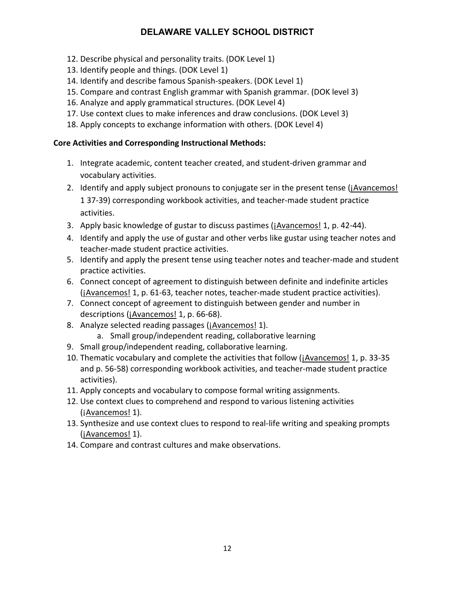- 12. Describe physical and personality traits. (DOK Level 1)
- 13. Identify people and things. (DOK Level 1)
- 14. Identify and describe famous Spanish-speakers. (DOK Level 1)
- 15. Compare and contrast English grammar with Spanish grammar. (DOK level 3)
- 16. Analyze and apply grammatical structures. (DOK Level 4)
- 17. Use context clues to make inferences and draw conclusions. (DOK Level 3)
- 18. Apply concepts to exchange information with others. (DOK Level 4)

# **Core Activities and Corresponding Instructional Methods:**

- 1. Integrate academic, content teacher created, and student-driven grammar and vocabulary activities.
- 2. Identify and apply subject pronouns to conjugate ser in the present tense (*jAvancemos!* 1 37-39) corresponding workbook activities, and teacher-made student practice activities.
- 3. Apply basic knowledge of gustar to discuss pastimes (*jAvancemos! 1, p. 42-44*).
- 4. Identify and apply the use of gustar and other verbs like gustar using teacher notes and teacher-made student practice activities.
- 5. Identify and apply the present tense using teacher notes and teacher-made and student practice activities.
- 6. Connect concept of agreement to distinguish between definite and indefinite articles (¡Avancemos! 1, p. 61-63, teacher notes, teacher-made student practice activities).
- 7. Connect concept of agreement to distinguish between gender and number in descriptions (¡Avancemos! 1, p. 66-68).
- 8. Analyze selected reading passages (¡Avancemos! 1).
	- a. Small group/independent reading, collaborative learning
- 9. Small group/independent reading, collaborative learning.
- 10. Thematic vocabulary and complete the activities that follow (jAvancemos! 1, p. 33-35 and p. 56-58) corresponding workbook activities, and teacher-made student practice activities).
- 11. Apply concepts and vocabulary to compose formal writing assignments.
- 12. Use context clues to comprehend and respond to various listening activities (iAvancemos! 1).
- 13. Synthesize and use context clues to respond to real-life writing and speaking prompts (iAvancemos! 1).
- 14. Compare and contrast cultures and make observations.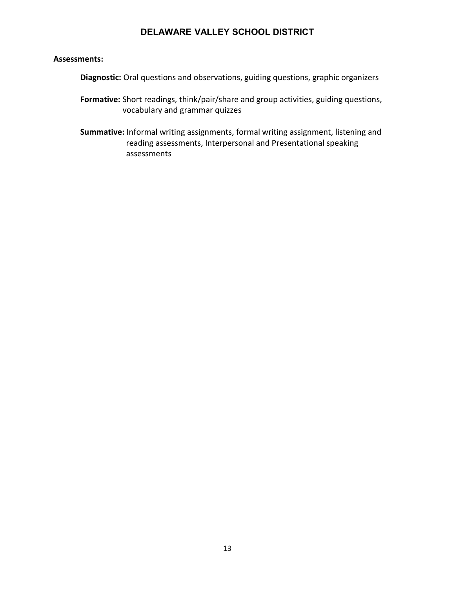#### **Assessments:**

**Diagnostic:** Oral questions and observations, guiding questions, graphic organizers

- **Formative:** Short readings, think/pair/share and group activities, guiding questions, vocabulary and grammar quizzes
- **Summative:** Informal writing assignments, formal writing assignment, listening and reading assessments, Interpersonal and Presentational speaking assessments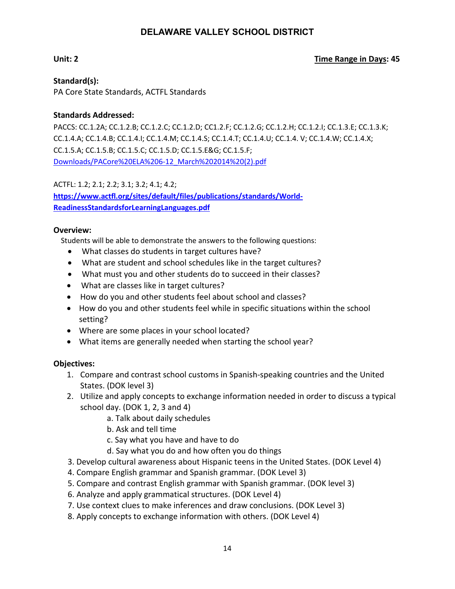#### **Unit: 2 Time Range in Days: 45**

**Standard(s):** PA Core State Standards, ACTFL Standards

#### **Standards Addressed:**

PACCS: CC.1.2A; CC.1.2.B; CC.1.2.C; CC.1.2.D; CC1.2.F; CC.1.2.G; CC.1.2.H; CC.1.2.I; CC.1.3.E; CC.1.3.K; CC.1.4.A; CC.1.4.B; CC.1.4.I; CC.1.4.M; CC.1.4.S; CC.1.4.T; CC.1.4.U; CC.1.4. V; CC.1.4.W; CC.1.4.X; CC.1.5.A; CC.1.5.B; CC.1.5.C; CC.1.5.D; CC.1.5.E&G; CC.1.5.F; Downloads/PACore%20ELA%206-12\_March%202014%20(2).pdf

ACTFL: 1.2; 2.1; 2.2; 3.1; 3.2; 4.1; 4.2; **[https://www.actfl.org/sites/default/files/publications/standards/World-](https://www.actfl.org/sites/default/files/publications/standards/World-ReadinessStandardsforLearningLanguages.pdf)[ReadinessStandardsforLearningLanguages.pdf](https://www.actfl.org/sites/default/files/publications/standards/World-ReadinessStandardsforLearningLanguages.pdf)**

#### **Overview:**

Students will be able to demonstrate the answers to the following questions:

- What classes do students in target cultures have?
- What are student and school schedules like in the target cultures?
- What must you and other students do to succeed in their classes?
- What are classes like in target cultures?
- How do you and other students feel about school and classes?
- How do you and other students feel while in specific situations within the school setting?
- Where are some places in your school located?
- What items are generally needed when starting the school year?

### **Objectives:**

- 1. Compare and contrast school customs in Spanish-speaking countries and the United States. (DOK level 3)
- 2. Utilize and apply concepts to exchange information needed in order to discuss a typical school day. (DOK 1, 2, 3 and 4)
	- a. Talk about daily schedules
	- b. Ask and tell time
	- c. Say what you have and have to do
	- d. Say what you do and how often you do things
- 3. Develop cultural awareness about Hispanic teens in the United States. (DOK Level 4)
- 4. Compare English grammar and Spanish grammar. (DOK Level 3)
- 5. Compare and contrast English grammar with Spanish grammar. (DOK level 3)
- 6. Analyze and apply grammatical structures. (DOK Level 4)
- 7. Use context clues to make inferences and draw conclusions. (DOK Level 3)
- 8. Apply concepts to exchange information with others. (DOK Level 4)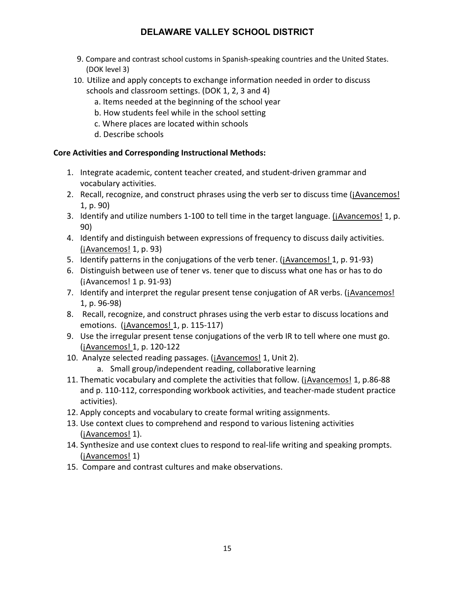- 9. Compare and contrast school customs in Spanish-speaking countries and the United States. (DOK level 3)
- 10. Utilize and apply concepts to exchange information needed in order to discuss schools and classroom settings. (DOK 1, 2, 3 and 4)
	- a. Items needed at the beginning of the school year
	- b. How students feel while in the school setting
	- c. Where places are located within schools
	- d. Describe schools

### **Core Activities and Corresponding Instructional Methods:**

- 1. Integrate academic, content teacher created, and student-driven grammar and vocabulary activities.
- 2. Recall, recognize, and construct phrases using the verb ser to discuss time (*jAvancemos!* 1, p. 90)
- 3. Identify and utilize numbers 1-100 to tell time in the target language. (*jAvancemos! 1, p.* 90)
- 4. Identify and distinguish between expressions of frequency to discuss daily activities.  $(iAvancemos! 1, p. 93)$
- 5. Identify patterns in the conjugations of the verb tener. (¡Avancemos! 1, p. 91-93)
- 6. Distinguish between use of tener vs. tener que to discuss what one has or has to do (¡Avancemos! 1 p. 91-93)
- 7. Identify and interpret the regular present tense conjugation of AR verbs. (¡Avancemos! 1, p. 96-98)
- 8. Recall, recognize, and construct phrases using the verb estar to discuss locations and emotions. (¡Avancemos! 1, p. 115-117)
- 9. Use the irregular present tense conjugations of the verb IR to tell where one must go. (¡Avancemos! 1, p. 120-122
- 10. Analyze selected reading passages. (¡Avancemos! 1, Unit 2).
	- a. Small group/independent reading, collaborative learning
- 11. Thematic vocabulary and complete the activities that follow. (¡Avancemos! 1, p.86-88 and p. 110-112, corresponding workbook activities, and teacher-made student practice activities).
- 12. Apply concepts and vocabulary to create formal writing assignments.
- 13. Use context clues to comprehend and respond to various listening activities (iAvancemos! 1).
- 14. Synthesize and use context clues to respond to real-life writing and speaking prompts. (¡Avancemos! 1)
- 15. Compare and contrast cultures and make observations.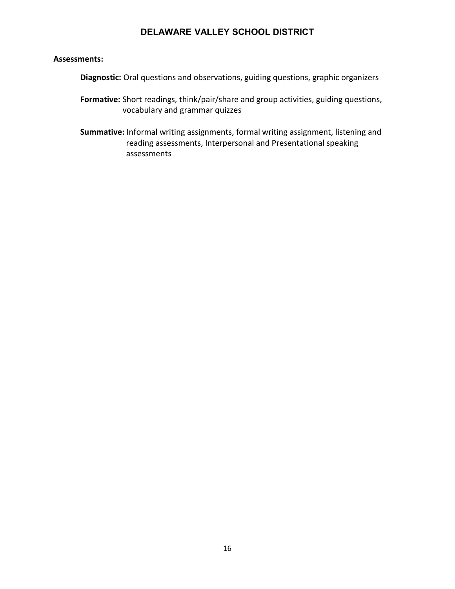#### **Assessments:**

**Diagnostic:** Oral questions and observations, guiding questions, graphic organizers

- **Formative:** Short readings, think/pair/share and group activities, guiding questions, vocabulary and grammar quizzes
- **Summative:** Informal writing assignments, formal writing assignment, listening and reading assessments, Interpersonal and Presentational speaking assessments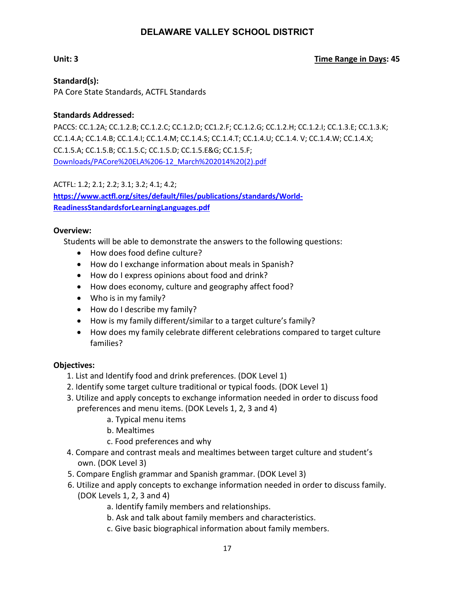#### **Unit: 3 Time Range in Days: 45**

**Standard(s):** PA Core State Standards, ACTFL Standards

#### **Standards Addressed:**

PACCS: CC.1.2A; CC.1.2.B; CC.1.2.C; CC.1.2.D; CC1.2.F; CC.1.2.G; CC.1.2.H; CC.1.2.I; CC.1.3.E; CC.1.3.K; CC.1.4.A; CC.1.4.B; CC.1.4.I; CC.1.4.M; CC.1.4.S; CC.1.4.T; CC.1.4.U; CC.1.4. V; CC.1.4.W; CC.1.4.X; CC.1.5.A; CC.1.5.B; CC.1.5.C; CC.1.5.D; CC.1.5.E&G; CC.1.5.F; Downloads/PACore%20ELA%206-12\_March%202014%20(2).pdf

ACTFL: 1.2; 2.1; 2.2; 3.1; 3.2; 4.1; 4.2; **[https://www.actfl.org/sites/default/files/publications/standards/World-](https://www.actfl.org/sites/default/files/publications/standards/World-ReadinessStandardsforLearningLanguages.pdf)[ReadinessStandardsforLearningLanguages.pdf](https://www.actfl.org/sites/default/files/publications/standards/World-ReadinessStandardsforLearningLanguages.pdf)**

#### **Overview:**

Students will be able to demonstrate the answers to the following questions:

- How does food define culture?
- How do I exchange information about meals in Spanish?
- How do I express opinions about food and drink?
- How does economy, culture and geography affect food?
- Who is in my family?
- How do I describe my family?
- How is my family different/similar to a target culture's family?
- How does my family celebrate different celebrations compared to target culture families?

#### **Objectives:**

- 1. List and Identify food and drink preferences. (DOK Level 1)
- 2. Identify some target culture traditional or typical foods. (DOK Level 1)
- 3. Utilize and apply concepts to exchange information needed in order to discuss food preferences and menu items. (DOK Levels 1, 2, 3 and 4)
	- a. Typical menu items
	- b. Mealtimes
	- c. Food preferences and why
- 4. Compare and contrast meals and mealtimes between target culture and student's own. (DOK Level 3)
- 5. Compare English grammar and Spanish grammar. (DOK Level 3)
- 6. Utilize and apply concepts to exchange information needed in order to discuss family. (DOK Levels 1, 2, 3 and 4)
	- a. Identify family members and relationships.
	- b. Ask and talk about family members and characteristics.
	- c. Give basic biographical information about family members.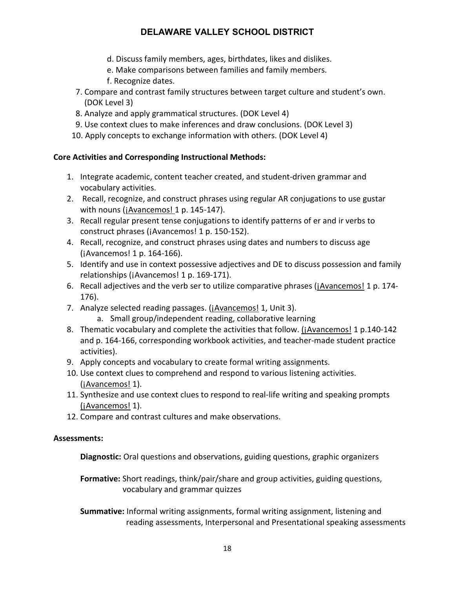- d. Discuss family members, ages, birthdates, likes and dislikes.
- e. Make comparisons between families and family members.
- f. Recognize dates.
- 7. Compare and contrast family structures between target culture and student's own. (DOK Level 3)
- 8. Analyze and apply grammatical structures. (DOK Level 4)
- 9. Use context clues to make inferences and draw conclusions. (DOK Level 3)
- 10. Apply concepts to exchange information with others. (DOK Level 4)

#### **Core Activities and Corresponding Instructional Methods:**

- 1. Integrate academic, content teacher created, and student-driven grammar and vocabulary activities.
- 2. Recall, recognize, and construct phrases using regular AR conjugations to use gustar with nouns (¡Avancemos! 1 p. 145-147).
- 3. Recall regular present tense conjugations to identify patterns of er and ir verbs to construct phrases (¡Avancemos! 1 p. 150-152).
- 4. Recall, recognize, and construct phrases using dates and numbers to discuss age (¡Avancemos! 1 p. 164-166).
- 5. Identify and use in context possessive adjectives and DE to discuss possession and family relationships (¡Avancemos! 1 p. 169-171).
- 6. Recall adjectives and the verb ser to utilize comparative phrases (jAvancemos! 1 p. 174-176).
- 7. Analyze selected reading passages. (¡Avancemos! 1, Unit 3).
	- a. Small group/independent reading, collaborative learning
- 8. Thematic vocabulary and complete the activities that follow. (¡Avancemos! 1 p.140-142 and p. 164-166, corresponding workbook activities, and teacher-made student practice activities).
- 9. Apply concepts and vocabulary to create formal writing assignments.
- 10. Use context clues to comprehend and respond to various listening activities. (¡Avancemos! 1).
- 11. Synthesize and use context clues to respond to real-life writing and speaking prompts (¡Avancemos! 1).
- 12. Compare and contrast cultures and make observations.

#### **Assessments:**

**Diagnostic:** Oral questions and observations, guiding questions, graphic organizers

**Formative:** Short readings, think/pair/share and group activities, guiding questions, vocabulary and grammar quizzes

**Summative:** Informal writing assignments, formal writing assignment, listening and reading assessments, Interpersonal and Presentational speaking assessments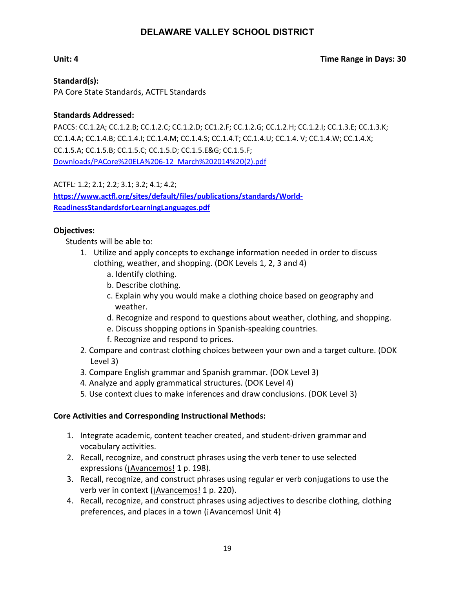#### **Unit: 4 Time Range in Days: 30**

**Standard(s):** PA Core State Standards, ACTFL Standards

#### **Standards Addressed:**

PACCS: CC.1.2A; CC.1.2.B; CC.1.2.C; CC.1.2.D; CC1.2.F; CC.1.2.G; CC.1.2.H; CC.1.2.I; CC.1.3.E; CC.1.3.K; CC.1.4.A; CC.1.4.B; CC.1.4.I; CC.1.4.M; CC.1.4.S; CC.1.4.T; CC.1.4.U; CC.1.4. V; CC.1.4.W; CC.1.4.X; CC.1.5.A; CC.1.5.B; CC.1.5.C; CC.1.5.D; CC.1.5.E&G; CC.1.5.F; Downloads/PACore%20ELA%206-12\_March%202014%20(2).pdf

ACTFL: 1.2; 2.1; 2.2; 3.1; 3.2; 4.1; 4.2; **[https://www.actfl.org/sites/default/files/publications/standards/World-](https://www.actfl.org/sites/default/files/publications/standards/World-ReadinessStandardsforLearningLanguages.pdf)[ReadinessStandardsforLearningLanguages.pdf](https://www.actfl.org/sites/default/files/publications/standards/World-ReadinessStandardsforLearningLanguages.pdf)**

#### **Objectives:**

Students will be able to:

- 1. Utilize and apply concepts to exchange information needed in order to discuss clothing, weather, and shopping. (DOK Levels 1, 2, 3 and 4)
	- a. Identify clothing.
	- b. Describe clothing.
	- c. Explain why you would make a clothing choice based on geography and weather.
	- d. Recognize and respond to questions about weather, clothing, and shopping.
	- e. Discuss shopping options in Spanish-speaking countries.
	- f. Recognize and respond to prices.
- 2. Compare and contrast clothing choices between your own and a target culture. (DOK Level 3)
- 3. Compare English grammar and Spanish grammar. (DOK Level 3)
- 4. Analyze and apply grammatical structures. (DOK Level 4)
- 5. Use context clues to make inferences and draw conclusions. (DOK Level 3)

#### **Core Activities and Corresponding Instructional Methods:**

- 1. Integrate academic, content teacher created, and student-driven grammar and vocabulary activities.
- 2. Recall, recognize, and construct phrases using the verb tener to use selected expressions (¡Avancemos! 1 p. 198).
- 3. Recall, recognize, and construct phrases using regular er verb conjugations to use the verb ver in context (¡Avancemos! 1 p. 220).
- 4. Recall, recognize, and construct phrases using adjectives to describe clothing, clothing preferences, and places in a town (¡Avancemos! Unit 4)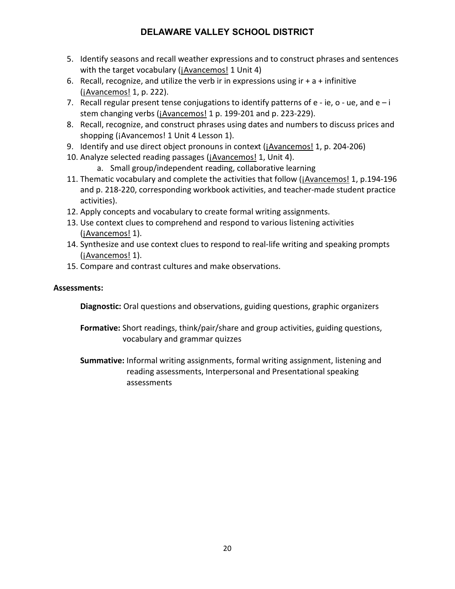- 5. Identify seasons and recall weather expressions and to construct phrases and sentences with the target vocabulary (*jAvancemos! 1 Unit 4*)
- 6. Recall, recognize, and utilize the verb ir in expressions using  $ir + a +$  infinitive (¡Avancemos! 1, p. 222).
- 7. Recall regular present tense conjugations to identify patterns of  $e ie$ ,  $o ue$ , and  $e i$ stem changing verbs (¡Avancemos! 1 p. 199-201 and p. 223-229).
- 8. Recall, recognize, and construct phrases using dates and numbers to discuss prices and shopping (¡Avancemos! 1 Unit 4 Lesson 1).
- 9. Identify and use direct object pronouns in context (¡Avancemos! 1, p. 204-206)
- 10. Analyze selected reading passages (jAvancemos! 1, Unit 4).
	- a. Small group/independent reading, collaborative learning
- 11. Thematic vocabulary and complete the activities that follow (*Avancemos!* 1, p.194-196 and p. 218-220, corresponding workbook activities, and teacher-made student practice activities).
- 12. Apply concepts and vocabulary to create formal writing assignments.
- 13. Use context clues to comprehend and respond to various listening activities (¡Avancemos! 1).
- 14. Synthesize and use context clues to respond to real-life writing and speaking prompts (¡Avancemos! 1).
- 15. Compare and contrast cultures and make observations.

### **Assessments:**

**Diagnostic:** Oral questions and observations, guiding questions, graphic organizers

- **Formative:** Short readings, think/pair/share and group activities, guiding questions, vocabulary and grammar quizzes
- **Summative:** Informal writing assignments, formal writing assignment, listening and reading assessments, Interpersonal and Presentational speaking assessments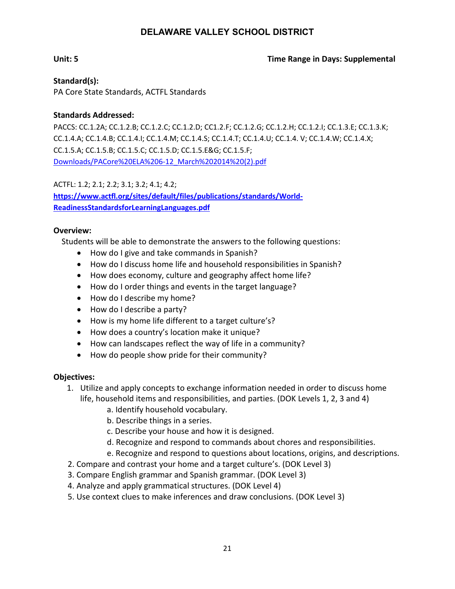#### **Unit: 5 Time Range in Days: Supplemental**

**Standard(s):** PA Core State Standards, ACTFL Standards

#### **Standards Addressed:**

PACCS: CC.1.2A; CC.1.2.B; CC.1.2.C; CC.1.2.D; CC1.2.F; CC.1.2.G; CC.1.2.H; CC.1.2.I; CC.1.3.E; CC.1.3.K; CC.1.4.A; CC.1.4.B; CC.1.4.I; CC.1.4.M; CC.1.4.S; CC.1.4.T; CC.1.4.U; CC.1.4. V; CC.1.4.W; CC.1.4.X; CC.1.5.A; CC.1.5.B; CC.1.5.C; CC.1.5.D; CC.1.5.E&G; CC.1.5.F; Downloads/PACore%20ELA%206-12\_March%202014%20(2).pdf

ACTFL: 1.2; 2.1; 2.2; 3.1; 3.2; 4.1; 4.2; **[https://www.actfl.org/sites/default/files/publications/standards/World-](https://www.actfl.org/sites/default/files/publications/standards/World-ReadinessStandardsforLearningLanguages.pdf)[ReadinessStandardsforLearningLanguages.pdf](https://www.actfl.org/sites/default/files/publications/standards/World-ReadinessStandardsforLearningLanguages.pdf)**

#### **Overview:**

Students will be able to demonstrate the answers to the following questions:

- How do I give and take commands in Spanish?
- How do I discuss home life and household responsibilities in Spanish?
- How does economy, culture and geography affect home life?
- How do I order things and events in the target language?
- How do I describe my home?
- How do I describe a party?
- How is my home life different to a target culture's?
- How does a country's location make it unique?
- How can landscapes reflect the way of life in a community?
- How do people show pride for their community?

#### **Objectives:**

- 1. Utilize and apply concepts to exchange information needed in order to discuss home life, household items and responsibilities, and parties. (DOK Levels 1, 2, 3 and 4)
	- a. Identify household vocabulary.
	- b. Describe things in a series.
	- c. Describe your house and how it is designed.
	- d. Recognize and respond to commands about chores and responsibilities.
	- e. Recognize and respond to questions about locations, origins, and descriptions.
- 2. Compare and contrast your home and a target culture's. (DOK Level 3)
- 3. Compare English grammar and Spanish grammar. (DOK Level 3)
- 4. Analyze and apply grammatical structures. (DOK Level 4)
- 5. Use context clues to make inferences and draw conclusions. (DOK Level 3)